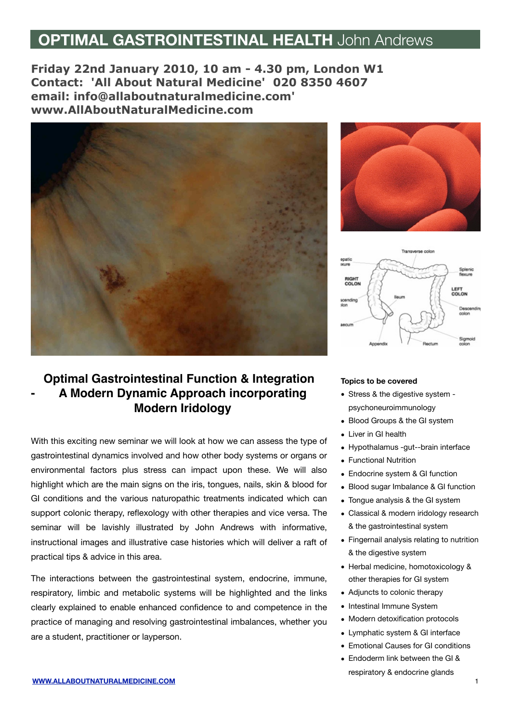## **OPTIMAL GASTROINTESTINAL HEALTH** John Andrews

**Friday 22nd January 2010, 10 am - 4.30 pm, London W1 Contact: 'All About Natural Medicine' 020 8350 4607 email: info[@allaboutnaturalmedicine.com'](http://uk.mc247.mail.yahoo.com/mc/compose?to=info@allaboutnaturalmedicine.com) [www.AllAboutNaturalMedicine.com](http://www.allaboutnaturalmedicine.com/)**



## **Optimal Gastrointestinal Function & Integration - A Modern Dynamic Approach incorporating Modern Iridology**

With this exciting new seminar we will look at how we can assess the type of gastrointestinal dynamics involved and how other body systems or organs or environmental factors plus stress can impact upon these. We will also highlight which are the main signs on the iris, tongues, nails, skin & blood for GI conditions and the various naturopathic treatments indicated which can support colonic therapy, reflexology with other therapies and vice versa. The seminar will be lavishly illustrated by John Andrews with informative, instructional images and illustrative case histories which will deliver a raft of practical tips & advice in this area.

The interactions between the gastrointestinal system, endocrine, immune, respiratory, limbic and metabolic systems will be highlighted and the links clearly explained to enable enhanced confidence to and competence in the practice of managing and resolving gastrointestinal imbalances, whether you are a student, practitioner or layperson.





## **Topics to be covered**

- Stress & the digestive system psychoneuroimmunology
- Blood Groups & the GI system
- Liver in GI health
- Hypothalamus -gut--brain interface
- Functional Nutrition
- Endocrine system & GI function
- Blood sugar Imbalance & GI function
- Tongue analysis & the GI system
- Classical & modern iridology research & the gastrointestinal system
- Fingernail analysis relating to nutrition & the digestive system
- Herbal medicine, homotoxicology & other therapies for GI system
- Adjuncts to colonic therapy
- Intestinal Immune System
- Modern detoxification protocols
- Lymphatic system & GI interface
- Emotional Causes for GI conditions
- Endoderm link between the GI & respiratory & endocrine glands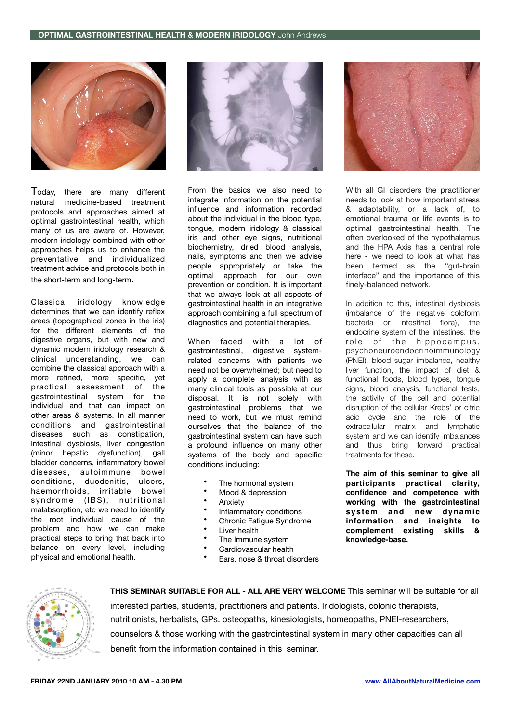

Today, there are many different natural medicine-based treatment protocols and approaches aimed at optimal gastrointestinal health, which many of us are aware of. However, modern iridology combined with other approaches helps us to enhance the preventative and individualized treatment advice and protocols both in the short-term and long-term.

Classical iridology knowledge determines that we can identify reflex areas (topographical zones in the iris) for the different elements of the digestive organs, but with new and dynamic modern iridology research & clinical understanding, we can combine the classical approach with a more refined, more specific, yet practical assessment of the gastrointestinal system for the individual and that can impact on other areas & systems. In all manner conditions and gastrointestinal diseases such as constipation, intestinal dysbiosis, liver congestion (minor hepatic dysfunction), gall bladder concerns, inflammatory bowel diseases, autoimmune bowel conditions, duodenitis, ulcers, haemorrhoids, irritable bowel syndrome (IBS), nutritional malabsorption, etc we need to identify the root individual cause of the problem and how we can make practical steps to bring that back into balance on every level, including physical and emotional health.



From the basics we also need to integrate information on the potential influence and information recorded about the individual in the blood type, tongue, modern iridology & classical iris and other eye signs, nutritional biochemistry, dried blood analysis, nails, symptoms and then we advise people appropriately or take the optimal approach for our own prevention or condition. It is important that we always look at all aspects of gastrointestinal health in an integrative approach combining a full spectrum of diagnostics and potential therapies.

When faced with a lot of gastrointestinal, digestive systemrelated concerns with patients we need not be overwhelmed; but need to apply a complete analysis with as many clinical tools as possible at our disposal. It is not solely with gastrointestinal problems that we need to work, but we must remind ourselves that the balance of the gastrointestinal system can have such a profound influence on many other systems of the body and specific conditions including:

- The hormonal system
- Mood & depression
- **Anxiety**
- Inflammatory conditions
- Chronic Fatigue Syndrome
- Liver health
- The Immune system
- Cardiovascular health
- Ears, nose & throat disorders



interested parties, students, practitioners and patients. Iridologists, colonic therapists, nutritionists, herbalists, GPs. osteopaths, kinesiologists, homeopaths, PNEI-researchers, counselors & those working with the gastrointestinal system in many other capacities can all benefit from the information contained in this seminar.

**THIS SEMINAR SUITABLE FOR ALL - ALL ARE VERY WELCOME** This seminar will be suitable for all

With all GI disorders the practitioner needs to look at how important stress & adaptability, or a lack of, to emotional trauma or life events is to optimal gastrointestinal health. The often overlooked of the hypothalamus and the HPA Axis has a central role here - we need to look at what has been termed as the "gut-brain interface" and the importance of this finely-balanced network.

In addition to this, intestinal dysbiosis (imbalance of the negative coloform bacteria or intestinal flora), the endocrine system of the intestines, the role of the hippocampus, psychoneuroendocrinoimmunology (PNEI), blood sugar imbalance, healthy liver function, the impact of diet & functional foods, blood types, tongue signs, blood analysis, functional tests, the activity of the cell and potential disruption of the cellular Krebs' or citric acid cycle and the role of the extracellular matrix and lymphatic system and we can identify imbalances and thus bring forward practical treatments for these.

**The aim of this seminar to give all participants practical clarity, confidence and competence with working with the gastrointestinal system and new dynamic information and insights to complement existing skills & knowledge-base.**